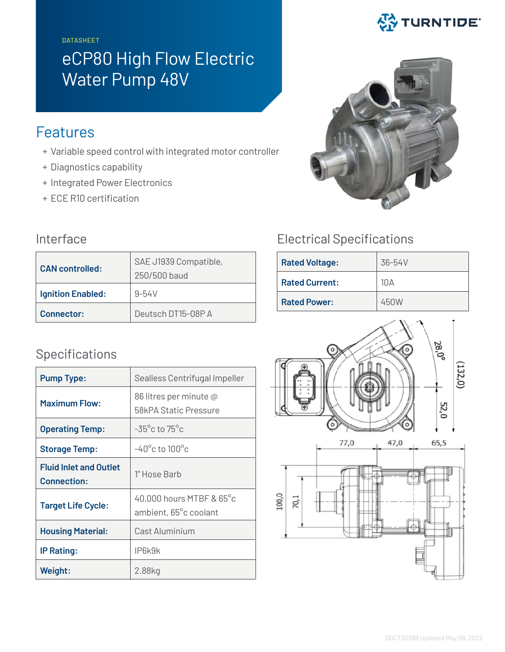DATASHEET

# eCP80 High Flow Electric Water Pump 48V

# Features

- + Variable speed control with integrated motor controller
- + Diagnostics capability
- + Integrated Power Electronics
- + ECE R10 certification

| <b>CAN</b> controlled:   | SAE J1939 Compatible,<br>250/500 baud |  |
|--------------------------|---------------------------------------|--|
| <b>Ignition Enabled:</b> | $9 - 54V$                             |  |
| Connector:               | Deutsch DT15-08P A                    |  |

## Specifications

| <b>Pump Type:</b>                                   | Sealless Centrifugal Impeller                     |  |
|-----------------------------------------------------|---------------------------------------------------|--|
| <b>Maximum Flow:</b>                                | 86 litres per minute @<br>58kPA Static Pressure   |  |
| <b>Operating Temp:</b>                              | $-35^{\circ}$ c to 75 $^{\circ}$ c                |  |
| <b>Storage Temp:</b>                                | $-40^{\circ}$ c to 100 $^{\circ}$ c               |  |
| <b>Fluid Inlet and Outlet</b><br><b>Connection:</b> | 1" Hose Barb                                      |  |
| <b>Target Life Cycle:</b>                           | 40,000 hours MTBF & 65°c<br>ambient, 65°c coolant |  |
| <b>Housing Material:</b>                            | Cast Aluminium                                    |  |
| <b>IP Rating:</b>                                   | IP6k9k                                            |  |
| Weight:                                             | 2.88kg                                            |  |

# **公 TURNTIDE**



## Interface Electrical Specifications

| <b>Rated Voltage:</b> | 36-54V     |
|-----------------------|------------|
| <b>Rated Current:</b> | $10\Delta$ |
| <b>Rated Power:</b>   | 450W       |